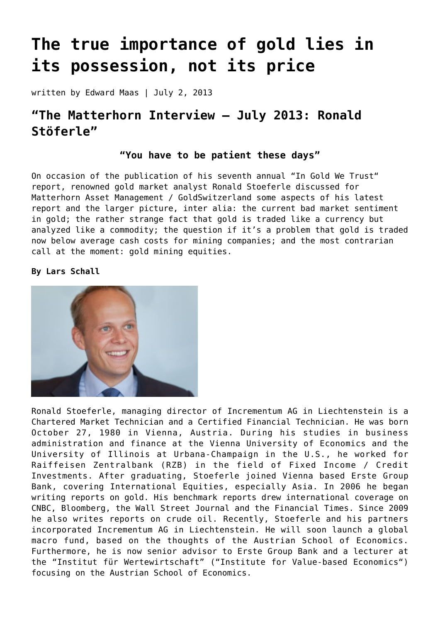# **[The true importance of gold lies in](https://goldswitzerland.com/the-true-importance-of-gold-is-its-possession-not-its-price/) [its possession, not its price](https://goldswitzerland.com/the-true-importance-of-gold-is-its-possession-not-its-price/)**

written by Edward Maas | July 2, 2013

# **"The Matterhorn Interview – July 2013: Ronald Stöferle"**

# **"You have to be patient these days"**

On occasion of the publication of his seventh annual ["In Gold We Trust](http://www.incrementum.li/research-analysis/in-gold-we-trust-2013/)" report, renowned gold market analyst Ronald Stoeferle discussed for Matterhorn Asset Management / GoldSwitzerland some aspects of his latest report and the larger picture, inter alia: the current bad market sentiment in gold; the rather strange fact that gold is traded like a currency but analyzed like a commodity; the question if it's a problem that gold is traded now below average cash costs for mining companies; and the most contrarian call at the moment: gold mining equities.

**By Lars Schall**



Ronald Stoeferle, managing director of Incrementum AG in Liechtenstein is a Chartered Market Technician and a Certified Financial Technician. He was born October 27, 1980 in Vienna, Austria. During his studies in business administration and finance at the Vienna University of Economics and the University of Illinois at Urbana-Champaign in the U.S., he worked for Raiffeisen Zentralbank (RZB) in the field of Fixed Income / Credit Investments. After graduating, Stoeferle joined Vienna based Erste Group Bank, covering International Equities, especially Asia. In 2006 he began writing reports on gold. His benchmark reports drew international coverage on CNBC, Bloomberg, the Wall Street Journal and the Financial Times. Since 2009 he also writes reports on crude oil. Recently, Stoeferle and his partners incorporated Incrementum AG in Liechtenstein. He will soon launch a global macro fund, based on the thoughts of the Austrian School of Economics. Furthermore, he is now senior advisor to Erste Group Bank and a lecturer at the "Institut für Wertewirtschaft" ("Institute for Value-based Economics") focusing on the Austrian School of Economics.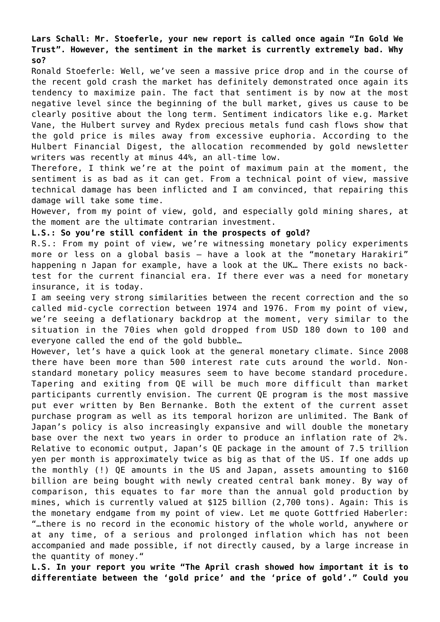**Lars Schall: Mr. Stoeferle, your new report is called once again "In Gold We Trust". However, the sentiment in the market is currently extremely bad. Why so?**

Ronald Stoeferle: Well, we've seen a massive price drop and in the course of the recent gold crash the market has definitely demonstrated once again its tendency to maximize pain. The fact that sentiment is by now at the most negative level since the beginning of the bull market, gives us cause to be clearly positive about the long term. Sentiment indicators like e.g. Market Vane, the Hulbert survey and Rydex precious metals fund cash flows show that the gold price is miles away from excessive euphoria. According to the Hulbert Financial Digest, the allocation recommended by gold newsletter writers was recently at minus 44%, an all-time low.

Therefore, I think we're at the point of maximum pain at the moment, the sentiment is as bad as it can get. From a technical point of view, massive technical damage has been inflicted and I am convinced, that repairing this damage will take some time.

However, from my point of view, gold, and especially gold mining shares, at the moment are the ultimate contrarian investment.

#### **L.S.: So you're still confident in the prospects of gold?**

R.S.: From my point of view, we're witnessing monetary policy experiments more or less on a global basis – have a look at the "monetary Harakiri" happening n Japan for example, have a look at the UK… There exists no backtest for the current financial era. If there ever was a need for monetary insurance, it is today.

I am seeing very strong similarities between the recent correction and the so called mid-cycle correction between 1974 and 1976. From my point of view, we're seeing a deflationary backdrop at the moment, very similar to the situation in the 70ies when gold dropped from USD 180 down to 100 and everyone called the end of the gold bubble…

However, let's have a quick look at the general monetary climate. Since 2008 there have been more than 500 interest rate cuts around the world. Nonstandard monetary policy measures seem to have become standard procedure. Tapering and exiting from QE will be much more difficult than market participants currently envision. The current QE program is the most massive put ever written by Ben Bernanke. Both the extent of the current asset purchase program as well as its temporal horizon are unlimited. The Bank of Japan's policy is also increasingly expansive and will double the monetary base over the next two years in order to produce an inflation rate of 2%. Relative to economic output, Japan's QE package in the amount of 7.5 trillion yen per month is approximately twice as big as that of the US. If one adds up the monthly (!) QE amounts in the US and Japan, assets amounting to \$160 billion are being bought with newly created central bank money. By way of comparison, this equates to far more than the annual gold production by mines, which is currently valued at \$125 billion (2,700 tons). Again: This is the monetary endgame from my point of view. Let me quote Gottfried Haberler: "…there is no record in the economic history of the whole world, anywhere or at any time, of a serious and prolonged inflation which has not been accompanied and made possible, if not directly caused, by a large increase in the quantity of money."

**L.S. In your report you write "The April crash showed how important it is to differentiate between the 'gold price' and the 'price of gold'." Could you**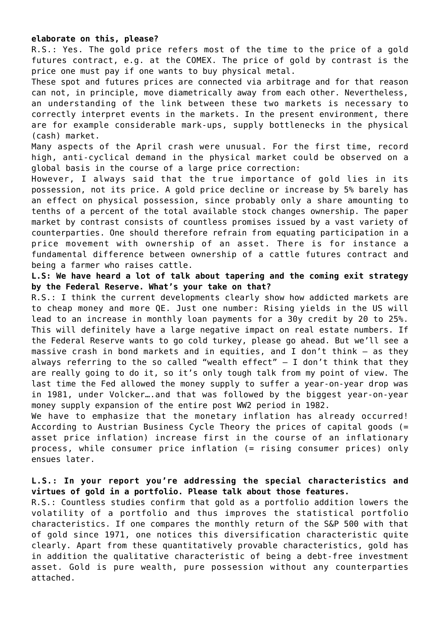#### **elaborate on this, please?**

R.S.: Yes. The gold price refers most of the time to the price of a gold futures contract, e.g. at the COMEX. The price of gold by contrast is the price one must pay if one wants to buy physical metal.

These spot and futures prices are connected via arbitrage and for that reason can not, in principle, move diametrically away from each other. Nevertheless, an understanding of the link between these two markets is necessary to correctly interpret events in the markets. In the present environment, there are for example considerable mark-ups, supply bottlenecks in the physical (cash) market.

Many aspects of the April crash were unusual. For the first time, record high, anti-cyclical demand in the physical market could be observed on a global basis in the course of a large price correction:

However, I always said that the true importance of gold lies in its possession, not its price. A gold price decline or increase by 5% barely has an effect on physical possession, since probably only a share amounting to tenths of a percent of the total available stock changes ownership. The paper market by contrast consists of countless promises issued by a vast variety of counterparties. One should therefore refrain from equating participation in a price movement with ownership of an asset. There is for instance a fundamental difference between ownership of a cattle futures contract and being a farmer who raises cattle.

**L.S: We have heard a lot of talk about tapering and the coming exit strategy by the Federal Reserve. What's your take on that?**

R.S.: I think the current developments clearly show how addicted markets are to cheap money and more QE. Just one number: Rising yields in the US will lead to an increase in monthly loan payments for a 30y credit by 20 to 25%. This will definitely have a large negative impact on real estate numbers. If the Federal Reserve wants to go cold turkey, please go ahead. But we'll see a massive crash in bond markets and in equities, and I don't think – as they always referring to the so called "wealth effect"  $-$  I don't think that they are really going to do it, so it's only tough talk from my point of view. The last time the Fed allowed the money supply to suffer a year-on-year drop was in 1981, under Volcker….and that was followed by the biggest year-on-year money supply expansion of the entire post WW2 period in 1982.

We have to emphasize that the monetary inflation has already occurred! According to Austrian Business Cycle Theory the prices of capital goods (= asset price inflation) increase first in the course of an inflationary process, while consumer price inflation (= rising consumer prices) only ensues later.

# **L.S.: In your report you're addressing the special characteristics and virtues of gold in a portfolio. Please talk about those features.**

R.S.: Countless studies confirm that gold as a portfolio addition lowers the volatility of a portfolio and thus improves the statistical portfolio characteristics. If one compares the monthly return of the S&P 500 with that of gold since 1971, one notices this diversification characteristic quite clearly. Apart from these quantitatively provable characteristics, gold has in addition the qualitative characteristic of being a debt-free investment asset. Gold is pure wealth, pure possession without any counterparties attached.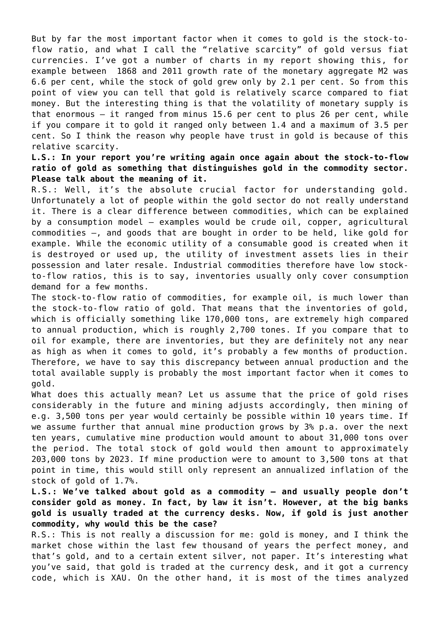But by far the most important factor when it comes to gold is the stock-toflow ratio, and what I call the "relative scarcity" of gold versus fiat currencies. I've got a number of charts in my report showing this, for example between 1868 and 2011 growth rate of the monetary aggregate M2 was 6.6 per cent, while the stock of gold grew only by 2.1 per cent. So from this point of view you can tell that gold is relatively scarce compared to fiat money. But the interesting thing is that the volatility of monetary supply is that enormous — it ranged from minus 15.6 per cent to plus 26 per cent, while if you compare it to gold it ranged only between 1.4 and a maximum of 3.5 per cent. So I think the reason why people have trust in gold is because of this relative scarcity.

**L.S.: In your report you're writing again once again about the stock-to-flow ratio of gold as something that distinguishes gold in the commodity sector. Please talk about the meaning of it.**

R.S.: Well, it's the absolute crucial factor for understanding gold. Unfortunately a lot of people within the gold sector do not really understand it. There is a clear difference between commodities, which can be explained by a consumption model – examples would be crude oil, copper, agricultural commodities –, and goods that are bought in order to be held, like gold for example. While the economic utility of a consumable good is created when it is destroyed or used up, the utility of investment assets lies in their possession and later resale. Industrial commodities therefore have low stockto-flow ratios, this is to say, inventories usually only cover consumption demand for a few months.

The stock-to-flow ratio of commodities, for example oil, is much lower than the stock-to-flow ratio of gold. That means that the inventories of gold, which is officially something like 170,000 tons, are extremely high compared to annual production, which is roughly 2,700 tones. If you compare that to oil for example, there are inventories, but they are definitely not any near as high as when it comes to gold, it's probably a few months of production. Therefore, we have to say this discrepancy between annual production and the total available supply is probably the most important factor when it comes to gold.

What does this actually mean? Let us assume that the price of gold rises considerably in the future and mining adjusts accordingly, then mining of e.g. 3,500 tons per year would certainly be possible within 10 years time. If we assume further that annual mine production grows by 3% p.a. over the next ten years, cumulative mine production would amount to about 31,000 tons over the period. The total stock of gold would then amount to approximately 203,000 tons by 2023. If mine production were to amount to 3,500 tons at that point in time, this would still only represent an annualized inflation of the stock of gold of 1.7%.

**L.S.: We've talked about gold as a commodity – and usually people don't consider gold as money. In fact, by law it isn't. However, at the big banks gold is usually traded at the currency desks. Now, if gold is just another commodity, why would this be the case?**

R.S.: This is not really a discussion for me: gold is money, and I think the market chose within the last few thousand of years the perfect money, and that's gold, and to a certain extent silver, not paper. It's interesting what you've said, that gold is traded at the currency desk, and it got a currency code, which is XAU. On the other hand, it is most of the times analyzed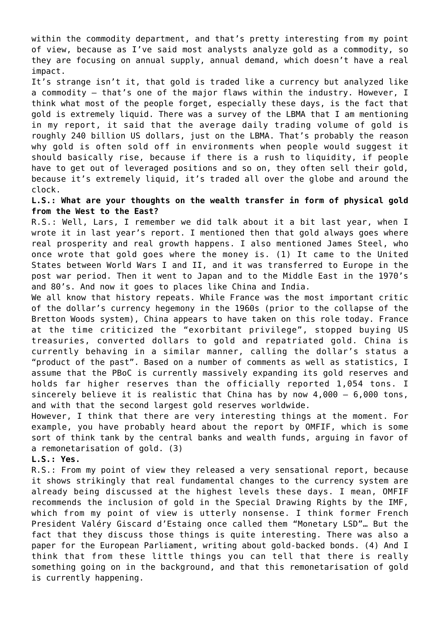within the commodity department, and that's pretty interesting from my point of view, because as I've said most analysts analyze gold as a commodity, so they are focusing on annual supply, annual demand, which doesn't have a real impact.

It's strange isn't it, that gold is traded like a currency but analyzed like a commodity – that's one of the major flaws within the industry. However, I think what most of the people forget, especially these days, is the fact that gold is extremely liquid. There was a survey of the LBMA that I am mentioning in my report, it said that the average daily trading volume of gold is roughly 240 billion US dollars, just on the LBMA. That's probably the reason why gold is often sold off in environments when people would suggest it should basically rise, because if there is a rush to liquidity, if people have to get out of leveraged positions and so on, they often sell their gold, because it's extremely liquid, it's traded all over the globe and around the clock.

#### **L.S.: What are your thoughts on the wealth transfer in form of physical gold from the West to the East?**

R.S.: Well, Lars, I remember we did talk about it a bit last year, when I wrote it in last year's report. I mentioned then that gold always goes where real prosperity and real growth happens. I also mentioned James Steel, who once wrote that gold goes where the money is. (1) It came to the United States between World Wars I and II, and it was transferred to Europe in the post war period. Then it went to Japan and to the Middle East in the 1970's and 80's. And now it goes to places like China and India.

We all know that history repeats. While France was the most important critic of the dollar's currency hegemony in the 1960s (prior to the collapse of the Bretton Woods system), China appears to have taken on this role today. France at the time criticized the "exorbitant privilege", stopped buying US treasuries, converted dollars to gold and repatriated gold. China is currently behaving in a similar manner, calling the dollar's status a "product of the past". Based on a number of comments as well as statistics, I assume that the PBoC is currently massively expanding its gold reserves and holds far higher reserves than the officially reported 1,054 tons. I sincerely believe it is realistic that China has by now 4,000 – 6,000 tons, and with that the second largest gold reserves worldwide.

However, I think that there are very interesting things at the moment. For example, you have probably heard about the report by OMFIF, which is some sort of think tank by the central banks and wealth funds, arguing in favor of a remonetarisation of gold. (3)

#### **L.S.: Yes.**

R.S.: From my point of view they released a very sensational report, because it shows strikingly that real fundamental changes to the currency system are already being discussed at the highest levels these days. I mean, OMFIF recommends the inclusion of gold in the Special Drawing Rights by the IMF, which from my point of view is utterly nonsense. I think former French President Valéry Giscard d'Estaing once called them "Monetary LSD"… But the fact that they discuss those things is quite interesting. There was also a paper for the European Parliament, writing about gold-backed bonds. (4) And I think that from these little things you can tell that there is really something going on in the background, and that this remonetarisation of gold is currently happening.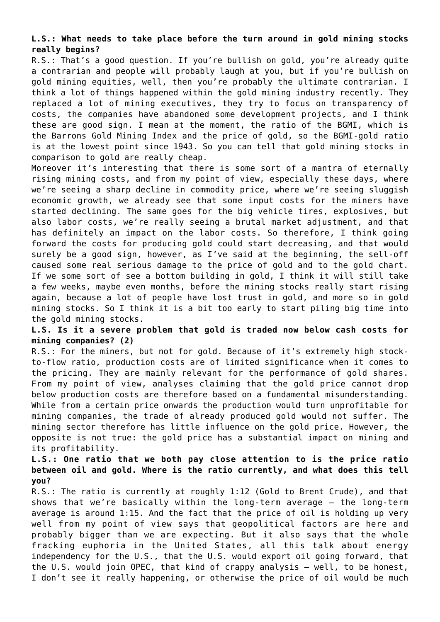### **L.S.: What needs to take place before the turn around in gold mining stocks really begins?**

R.S.: That's a good question. If you're bullish on gold, you're already quite a contrarian and people will probably laugh at you, but if you're bullish on gold mining equities, well, then you're probably the ultimate contrarian. I think a lot of things happened within the gold mining industry recently. They replaced a lot of mining executives, they try to focus on transparency of costs, the companies have abandoned some development projects, and I think these are good sign. I mean at the moment, the ratio of the BGMI, which is the Barrons Gold Mining Index and the price of gold, so the BGMI-gold ratio is at the lowest point since 1943. So you can tell that gold mining stocks in comparison to gold are really cheap.

Moreover it's interesting that there is some sort of a mantra of eternally rising mining costs, and from my point of view, especially these days, where we're seeing a sharp decline in commodity price, where we're seeing sluggish economic growth, we already see that some input costs for the miners have started declining. The same goes for the big vehicle tires, explosives, but also labor costs, we're really seeing a brutal market adjustment, and that has definitely an impact on the labor costs. So therefore, I think going forward the costs for producing gold could start decreasing, and that would surely be a good sign, however, as I've said at the beginning, the sell-off caused some real serious damage to the price of gold and to the gold chart. If we some sort of see a bottom building in gold, I think it will still take a few weeks, maybe even months, before the mining stocks really start rising again, because a lot of people have lost trust in gold, and more so in gold mining stocks. So I think it is a bit too early to start piling big time into the gold mining stocks.

# **L.S. Is it a severe problem that gold is traded now below cash costs for mining companies? (2)**

R.S.: For the miners, but not for gold. Because of it's extremely high stockto-flow ratio, production costs are of limited significance when it comes to the pricing. They are mainly relevant for the performance of gold shares. From my point of view, analyses claiming that the gold price cannot drop below production costs are therefore based on a fundamental misunderstanding. While from a certain price onwards the production would turn unprofitable for mining companies, the trade of already produced gold would not suffer. The mining sector therefore has little influence on the gold price. However, the opposite is not true: the gold price has a substantial impact on mining and its profitability.

# **L.S.: One ratio that we both pay close attention to is the price ratio between oil and gold. Where is the ratio currently, and what does this tell you?**

R.S.: The ratio is currently at roughly 1:12 (Gold to Brent Crude), and that shows that we're basically within the long-term average – the long-term average is around 1:15. And the fact that the price of oil is holding up very well from my point of view says that geopolitical factors are here and probably bigger than we are expecting. But it also says that the whole fracking euphoria in the United States, all this talk about energy independency for the U.S., that the U.S. would export oil going forward, that the U.S. would join OPEC, that kind of crappy analysis – well, to be honest, I don't see it really happening, or otherwise the price of oil would be much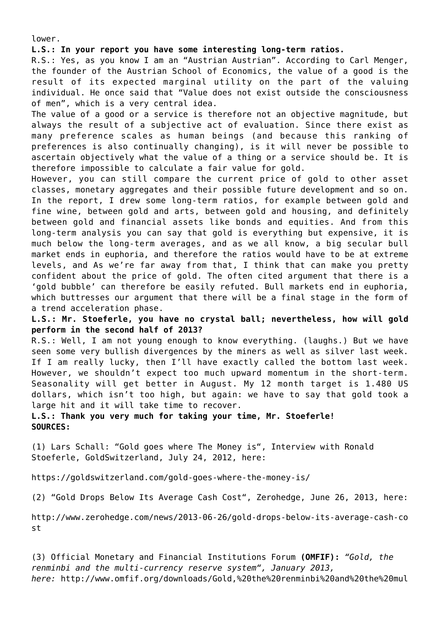lower.

#### **L.S.: In your report you have some interesting long-term ratios.**

R.S.: Yes, as you know I am an "Austrian Austrian". According to Carl Menger, the founder of the Austrian School of Economics, the value of a good is the result of its expected marginal utility on the part of the valuing individual. He once said that "Value does not exist outside the consciousness of men", which is a very central idea.

The value of a good or a service is therefore not an objective magnitude, but always the result of a subjective act of evaluation. Since there exist as many preference scales as human beings (and because this ranking of preferences is also continually changing), is it will never be possible to ascertain objectively what the value of a thing or a service should be. It is therefore impossible to calculate a fair value for gold.

However, you can still compare the current price of gold to other asset classes, monetary aggregates and their possible future development and so on. In the report, I drew some long-term ratios, for example between gold and fine wine, between gold and arts, between gold and housing, and definitely between gold and financial assets like bonds and equities. And from this long-term analysis you can say that gold is everything but expensive, it is much below the long-term averages, and as we all know, a big secular bull market ends in euphoria, and therefore the ratios would have to be at extreme levels, and As we're far away from that, I think that can make you pretty confident about the price of gold. The often cited argument that there is a 'gold bubble' can therefore be easily refuted. Bull markets end in euphoria, which buttresses our argument that there will be a final stage in the form of a trend acceleration phase.

**L.S.: Mr. Stoeferle, you have no crystal ball; nevertheless, how will gold perform in the second half of 2013?**

R.S.: Well, I am not young enough to know everything. (laughs.) But we have seen some very bullish divergences by the miners as well as silver last week. If I am really lucky, then I'll have exactly called the bottom last week. However, we shouldn't expect too much upward momentum in the short-term. Seasonality will get better in August. My 12 month target is 1.480 US dollars, which isn't too high, but again: we have to say that gold took a large hit and it will take time to recover.

**L.S.: Thank you very much for taking your time, Mr. Stoeferle! SOURCES:**

(1) Lars Schall: "Gold goes where The Money is", Interview with Ronald Stoeferle, GoldSwitzerland, July 24, 2012, here:

<https://goldswitzerland.com/gold-goes-where-the-money-is/>

(2) "Gold Drops Below Its Average Cash Cost", Zerohedge, June 26, 2013, here:

[http://www.zerohedge.com/news/2013-06-26/gold-drops-below-its-average-cash-co](http://www.zerohedge.com/news/2013-06-26/gold-drops-below-its-average-cash-cost) [st](http://www.zerohedge.com/news/2013-06-26/gold-drops-below-its-average-cash-cost)

(3) Official Monetary and Financial Institutions Forum **(OMFIF):** *"Gold, the renminbi and the multi-currency reserve system", January 2013, here:* [http://www.omfif.org/downloads/Gold,%20the%20renminbi%20and%20the%20mul](http://www.omfif.org/downloads/Gold,%20the%20renminbi%20and%20the%20multi-currency%20reserve%20system.pdf)